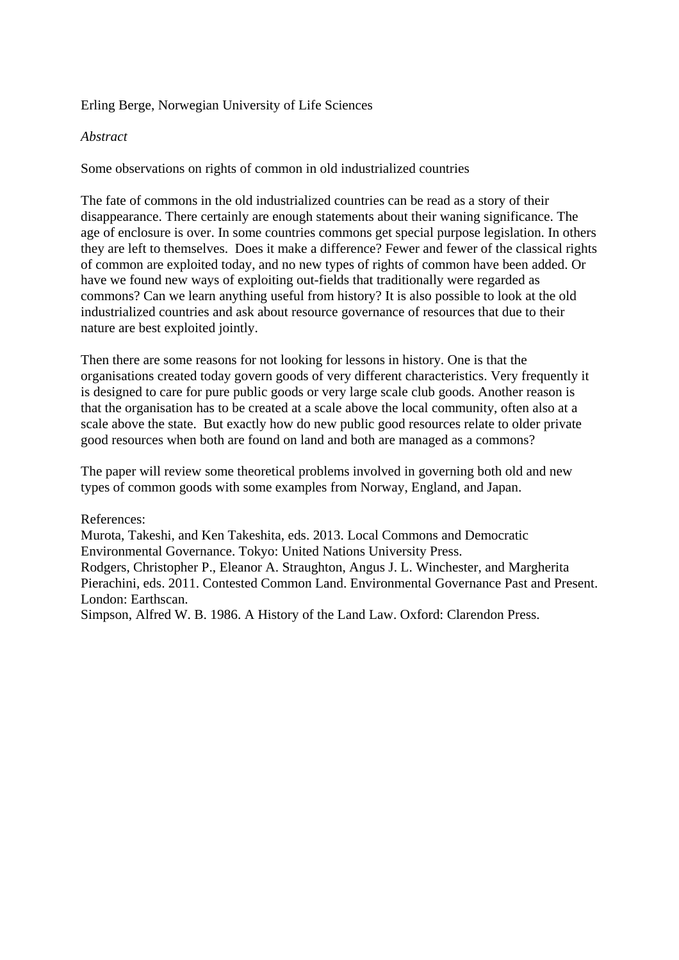## Erling Berge, Norwegian University of Life Sciences

## *Abstract*

Some observations on rights of common in old industrialized countries

The fate of commons in the old industrialized countries can be read as a story of their disappearance. There certainly are enough statements about their waning significance. The age of enclosure is over. In some countries commons get special purpose legislation. In others they are left to themselves. Does it make a difference? Fewer and fewer of the classical rights of common are exploited today, and no new types of rights of common have been added. Or have we found new ways of exploiting out-fields that traditionally were regarded as commons? Can we learn anything useful from history? It is also possible to look at the old industrialized countries and ask about resource governance of resources that due to their nature are best exploited jointly.

Then there are some reasons for not looking for lessons in history. One is that the organisations created today govern goods of very different characteristics. Very frequently it is designed to care for pure public goods or very large scale club goods. Another reason is that the organisation has to be created at a scale above the local community, often also at a scale above the state. But exactly how do new public good resources relate to older private good resources when both are found on land and both are managed as a commons?

The paper will review some theoretical problems involved in governing both old and new types of common goods with some examples from Norway, England, and Japan.

#### References:

Murota, Takeshi, and Ken Takeshita, eds. 2013. Local Commons and Democratic Environmental Governance. Tokyo: United Nations University Press. Rodgers, Christopher P., Eleanor A. Straughton, Angus J. L. Winchester, and Margherita Pierachini, eds. 2011. Contested Common Land. Environmental Governance Past and Present. London: Earthscan. Simpson, Alfred W. B. 1986. A History of the Land Law. Oxford: Clarendon Press.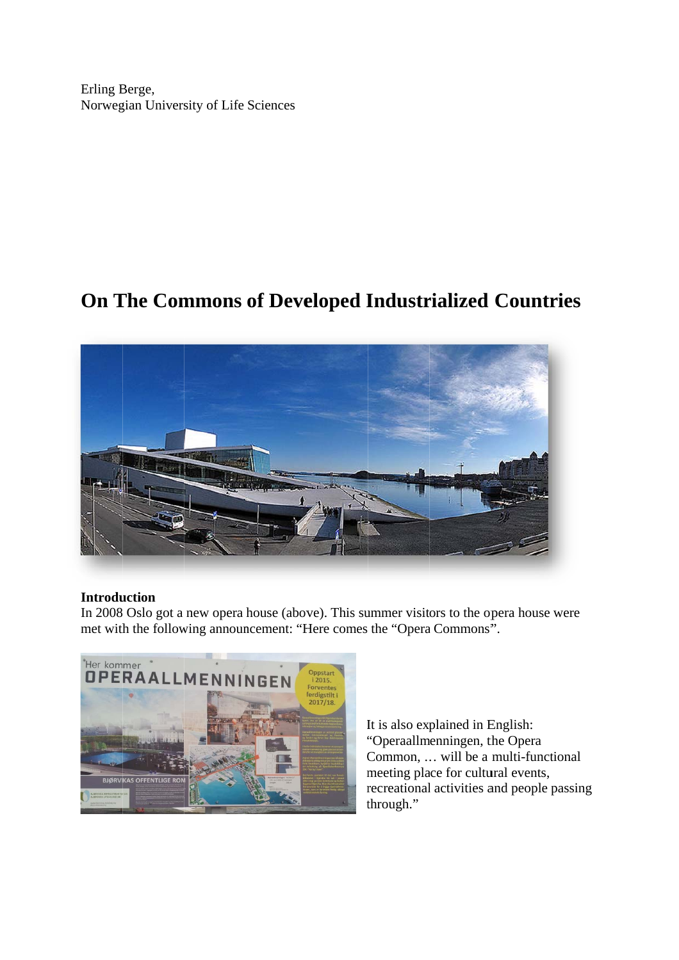Erling B Berge, Norwegian University of Life Sciences

# **On T The Com mmons of Deve eloped I Industr rialized Countr ries**



# **Introduction**

In 2008 Oslo got a new opera house (above). This summer visitors to the opera house were met with the following announcement: "Here comes the "Opera Commons".



It is also explained in English: "Operaallmenningen, the Opera Common, ... will be a multi-functional meeting place for cultural events, recreational activities and people passing t through."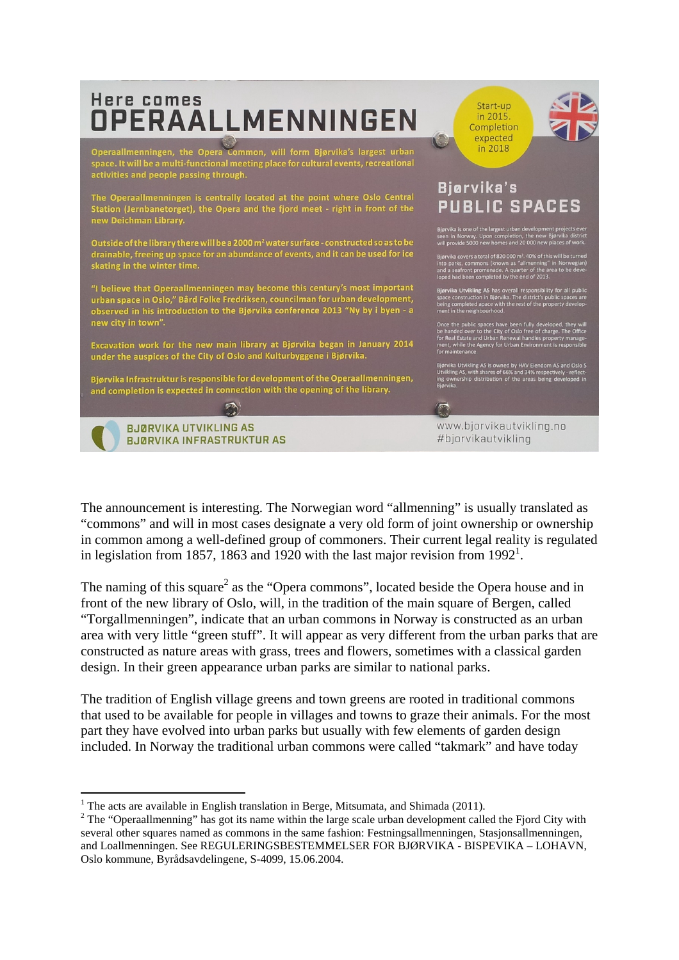

The announcement is interesting. The Norwegian word "allmenning" is usually translated as "commons" and will in most cases designate a very old form of joint ownership or ownership in common among a well-defined group of commoners. Their current legal reality is regulated in legislation from 1857, 1863 and 1920 with the last major revision from 1992<sup>1</sup>.

The naming of this square<sup>2</sup> as the "Opera commons", located beside the Opera house and in front of the new library of Oslo, will, in the tradition of the main square of Bergen, called "Torgallmenningen", indicate that an urban commons in Norway is constructed as an urban area with very little "green stuff". It will appear as very different from the urban parks that are constructed as nature areas with grass, trees and flowers, sometimes with a classical garden design. In their green appearance urban parks are similar to national parks.

The tradition of English village greens and town greens are rooted in traditional commons that used to be available for people in villages and towns to graze their animals. For the most part they have evolved into urban parks but usually with few elements of garden design included. In Norway the traditional urban commons were called "takmark" and have today

 <sup>1</sup> The acts are available in English translation in Berge, Mitsumata, and Shimada (2011).

<sup>&</sup>lt;sup>2</sup> The "Operaallmenning" has got its name within the large scale urban development called the Fjord City with several other squares named as commons in the same fashion: Festningsallmenningen, Stasjonsallmenningen, and Loallmenningen. See REGULERINGSBESTEMMELSER FOR BJØRVIKA - BISPEVIKA – LOHAVN, Oslo kommune, Byrådsavdelingene, S-4099, 15.06.2004.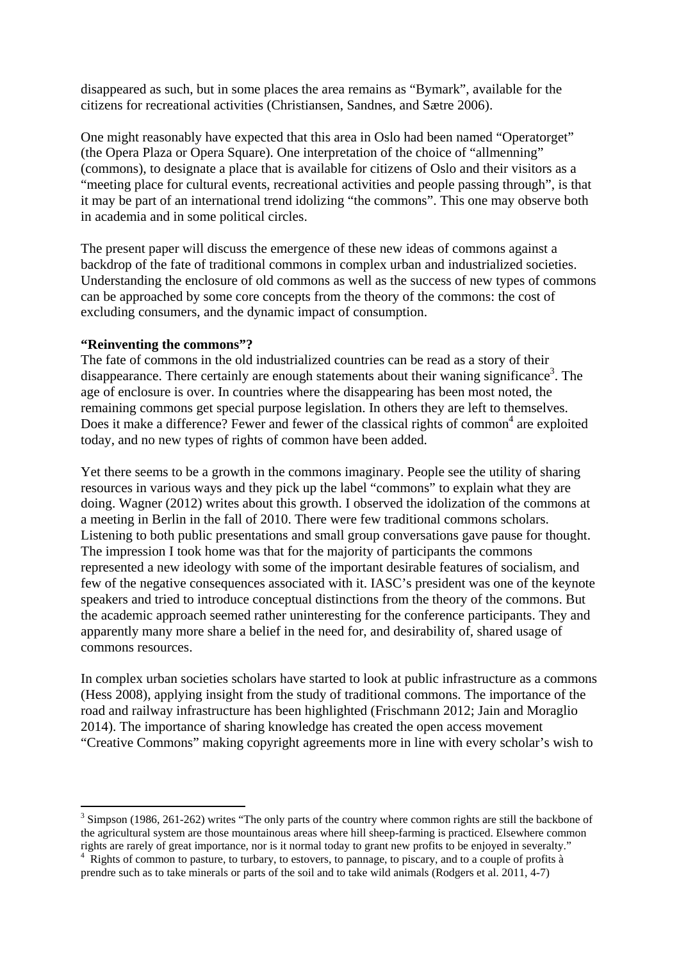disappeared as such, but in some places the area remains as "Bymark", available for the citizens for recreational activities (Christiansen, Sandnes, and Sætre 2006).

One might reasonably have expected that this area in Oslo had been named "Operatorget" (the Opera Plaza or Opera Square). One interpretation of the choice of "allmenning" (commons), to designate a place that is available for citizens of Oslo and their visitors as a "meeting place for cultural events, recreational activities and people passing through", is that it may be part of an international trend idolizing "the commons". This one may observe both in academia and in some political circles.

The present paper will discuss the emergence of these new ideas of commons against a backdrop of the fate of traditional commons in complex urban and industrialized societies. Understanding the enclosure of old commons as well as the success of new types of commons can be approached by some core concepts from the theory of the commons: the cost of excluding consumers, and the dynamic impact of consumption.

#### **"Reinventing the commons"?**

The fate of commons in the old industrialized countries can be read as a story of their disappearance. There certainly are enough statements about their waning significance<sup>3</sup>. The age of enclosure is over. In countries where the disappearing has been most noted, the remaining commons get special purpose legislation. In others they are left to themselves. Does it make a difference? Fewer and fewer of the classical rights of common<sup>4</sup> are exploited today, and no new types of rights of common have been added.

Yet there seems to be a growth in the commons imaginary. People see the utility of sharing resources in various ways and they pick up the label "commons" to explain what they are doing. Wagner (2012) writes about this growth. I observed the idolization of the commons at a meeting in Berlin in the fall of 2010. There were few traditional commons scholars. Listening to both public presentations and small group conversations gave pause for thought. The impression I took home was that for the majority of participants the commons represented a new ideology with some of the important desirable features of socialism, and few of the negative consequences associated with it. IASC's president was one of the keynote speakers and tried to introduce conceptual distinctions from the theory of the commons. But the academic approach seemed rather uninteresting for the conference participants. They and apparently many more share a belief in the need for, and desirability of, shared usage of commons resources.

In complex urban societies scholars have started to look at public infrastructure as a commons (Hess 2008), applying insight from the study of traditional commons. The importance of the road and railway infrastructure has been highlighted (Frischmann 2012; Jain and Moraglio 2014). The importance of sharing knowledge has created the open access movement "Creative Commons" making copyright agreements more in line with every scholar's wish to

 $3$  Simpson (1986, 261-262) writes "The only parts of the country where common rights are still the backbone of the agricultural system are those mountainous areas where hill sheep-farming is practiced. Elsewhere common rights are rarely of great importance, nor is it normal today to grant new profits to be enjoyed in severalty." 4

Rights of common to pasture, to turbary, to estovers, to pannage, to piscary, and to a couple of profits à prendre such as to take minerals or parts of the soil and to take wild animals (Rodgers et al. 2011, 4-7)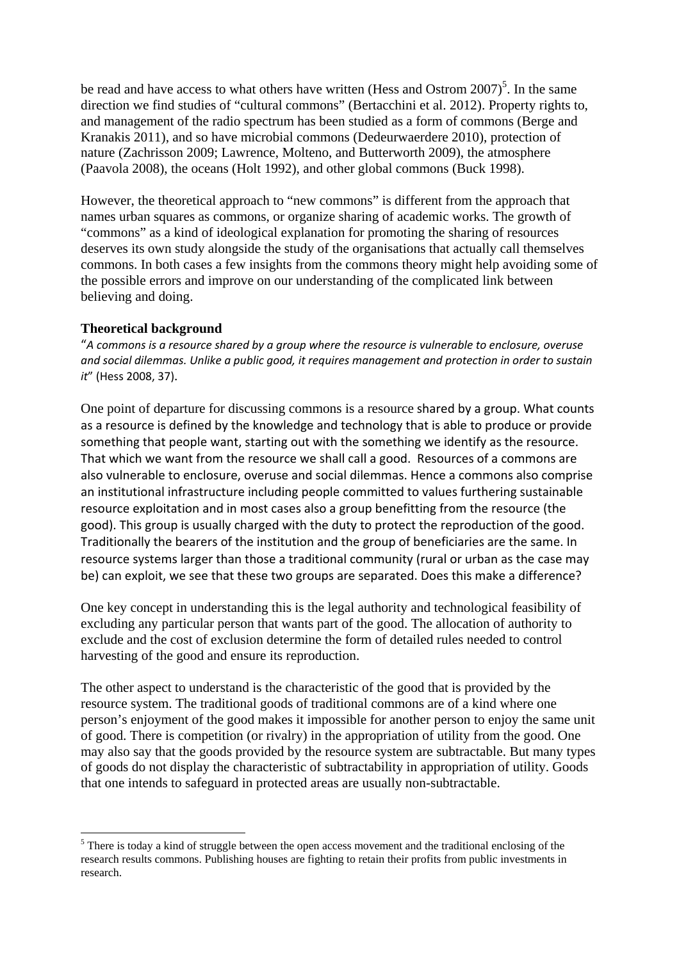be read and have access to what others have written (Hess and Ostrom  $2007$ )<sup>5</sup>. In the same direction we find studies of "cultural commons" (Bertacchini et al. 2012). Property rights to, and management of the radio spectrum has been studied as a form of commons (Berge and Kranakis 2011), and so have microbial commons (Dedeurwaerdere 2010), protection of nature (Zachrisson 2009; Lawrence, Molteno, and Butterworth 2009), the atmosphere (Paavola 2008), the oceans (Holt 1992), and other global commons (Buck 1998).

However, the theoretical approach to "new commons" is different from the approach that names urban squares as commons, or organize sharing of academic works. The growth of "commons" as a kind of ideological explanation for promoting the sharing of resources deserves its own study alongside the study of the organisations that actually call themselves commons. In both cases a few insights from the commons theory might help avoiding some of the possible errors and improve on our understanding of the complicated link between believing and doing.

## **Theoretical background**

"*A commons is a resource shared by a group where the resource is vulnerable to enclosure, overuse and social dilemmas. Unlike a public good, it requires management and protection in order to sustain it*" (Hess 2008, 37).

One point of departure for discussing commons is a resource shared by a group. What counts as a resource is defined by the knowledge and technology that is able to produce or provide something that people want, starting out with the something we identify as the resource. That which we want from the resource we shall call a good. Resources of a commons are also vulnerable to enclosure, overuse and social dilemmas. Hence a commons also comprise an institutional infrastructure including people committed to values furthering sustainable resource exploitation and in most cases also a group benefitting from the resource (the good). This group is usually charged with the duty to protect the reproduction of the good. Traditionally the bearers of the institution and the group of beneficiaries are the same. In resource systems larger than those a traditional community (rural or urban as the case may be) can exploit, we see that these two groups are separated. Does this make a difference?

One key concept in understanding this is the legal authority and technological feasibility of excluding any particular person that wants part of the good. The allocation of authority to exclude and the cost of exclusion determine the form of detailed rules needed to control harvesting of the good and ensure its reproduction.

The other aspect to understand is the characteristic of the good that is provided by the resource system. The traditional goods of traditional commons are of a kind where one person's enjoyment of the good makes it impossible for another person to enjoy the same unit of good. There is competition (or rivalry) in the appropriation of utility from the good. One may also say that the goods provided by the resource system are subtractable. But many types of goods do not display the characteristic of subtractability in appropriation of utility. Goods that one intends to safeguard in protected areas are usually non-subtractable.

 $<sup>5</sup>$  There is today a kind of struggle between the open access movement and the traditional enclosing of the</sup> research results commons. Publishing houses are fighting to retain their profits from public investments in research.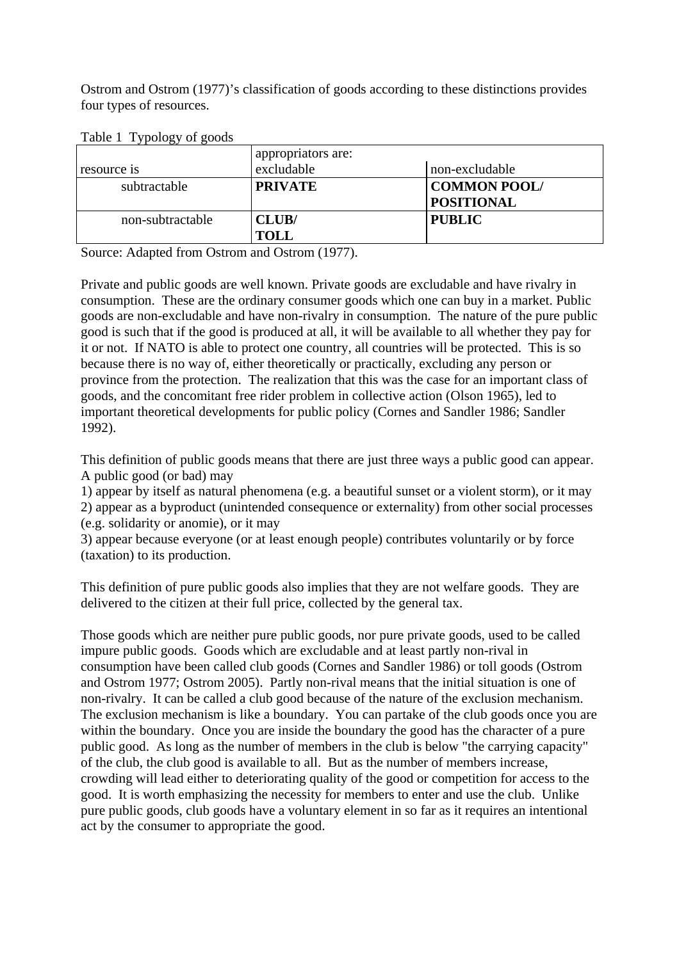Ostrom and Ostrom (1977)'s classification of goods according to these distinctions provides four types of resources.

| resource is      | appropriators are:<br>excludable | non-excludable                           |
|------------------|----------------------------------|------------------------------------------|
| subtractable     | <b>PRIVATE</b>                   | <b>COMMON POOL/</b><br><b>POSITIONAL</b> |
| non-subtractable | CLUB/<br><b>TOLL</b>             | <b>PUBLIC</b>                            |

Table 1 Typology of goods

Source: Adapted from Ostrom and Ostrom (1977).

Private and public goods are well known. Private goods are excludable and have rivalry in consumption. These are the ordinary consumer goods which one can buy in a market. Public goods are non-excludable and have non-rivalry in consumption. The nature of the pure public good is such that if the good is produced at all, it will be available to all whether they pay for it or not. If NATO is able to protect one country, all countries will be protected. This is so because there is no way of, either theoretically or practically, excluding any person or province from the protection. The realization that this was the case for an important class of goods, and the concomitant free rider problem in collective action (Olson 1965), led to important theoretical developments for public policy (Cornes and Sandler 1986; Sandler 1992).

This definition of public goods means that there are just three ways a public good can appear. A public good (or bad) may

1) appear by itself as natural phenomena (e.g. a beautiful sunset or a violent storm), or it may 2) appear as a byproduct (unintended consequence or externality) from other social processes (e.g. solidarity or anomie), or it may

3) appear because everyone (or at least enough people) contributes voluntarily or by force (taxation) to its production.

This definition of pure public goods also implies that they are not welfare goods. They are delivered to the citizen at their full price, collected by the general tax.

Those goods which are neither pure public goods, nor pure private goods, used to be called impure public goods. Goods which are excludable and at least partly non-rival in consumption have been called club goods (Cornes and Sandler 1986) or toll goods (Ostrom and Ostrom 1977; Ostrom 2005). Partly non-rival means that the initial situation is one of non-rivalry. It can be called a club good because of the nature of the exclusion mechanism. The exclusion mechanism is like a boundary. You can partake of the club goods once you are within the boundary. Once you are inside the boundary the good has the character of a pure public good. As long as the number of members in the club is below "the carrying capacity" of the club, the club good is available to all. But as the number of members increase, crowding will lead either to deteriorating quality of the good or competition for access to the good. It is worth emphasizing the necessity for members to enter and use the club. Unlike pure public goods, club goods have a voluntary element in so far as it requires an intentional act by the consumer to appropriate the good.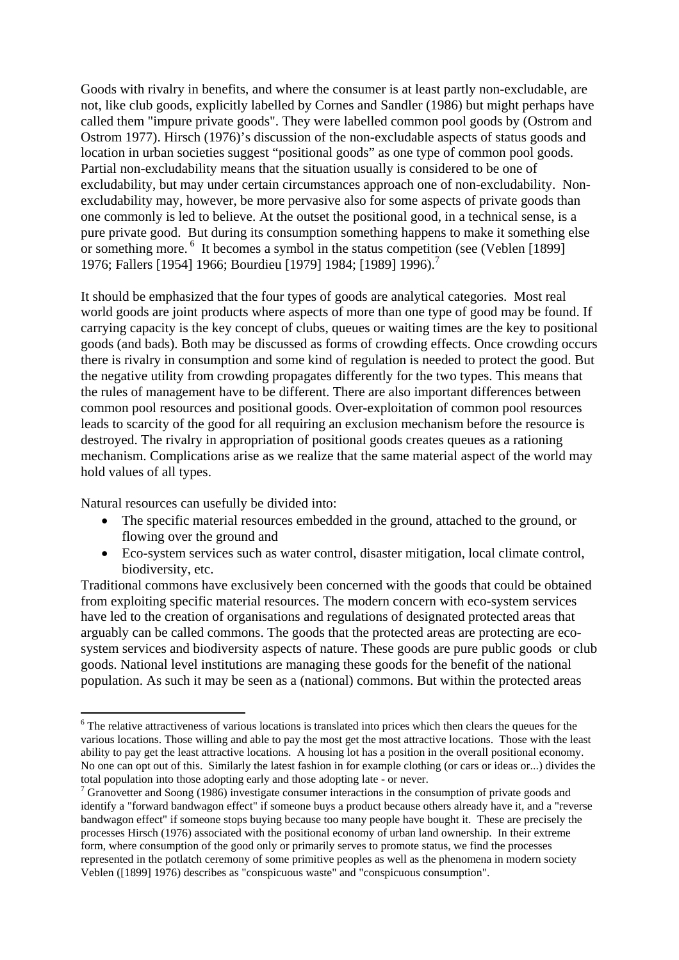Goods with rivalry in benefits, and where the consumer is at least partly non-excludable, are not, like club goods, explicitly labelled by Cornes and Sandler (1986) but might perhaps have called them "impure private goods". They were labelled common pool goods by (Ostrom and Ostrom 1977). Hirsch (1976)'s discussion of the non-excludable aspects of status goods and location in urban societies suggest "positional goods" as one type of common pool goods. Partial non-excludability means that the situation usually is considered to be one of excludability, but may under certain circumstances approach one of non-excludability. Nonexcludability may, however, be more pervasive also for some aspects of private goods than one commonly is led to believe. At the outset the positional good, in a technical sense, is a pure private good. But during its consumption something happens to make it something else or something more. 6 It becomes a symbol in the status competition (see (Veblen [1899] 1976; Fallers [1954] 1966; Bourdieu [1979] 1984; [1989] 1996).<sup>7</sup>

It should be emphasized that the four types of goods are analytical categories. Most real world goods are joint products where aspects of more than one type of good may be found. If carrying capacity is the key concept of clubs, queues or waiting times are the key to positional goods (and bads). Both may be discussed as forms of crowding effects. Once crowding occurs there is rivalry in consumption and some kind of regulation is needed to protect the good. But the negative utility from crowding propagates differently for the two types. This means that the rules of management have to be different. There are also important differences between common pool resources and positional goods. Over-exploitation of common pool resources leads to scarcity of the good for all requiring an exclusion mechanism before the resource is destroyed. The rivalry in appropriation of positional goods creates queues as a rationing mechanism. Complications arise as we realize that the same material aspect of the world may hold values of all types.

Natural resources can usefully be divided into:

- The specific material resources embedded in the ground, attached to the ground, or flowing over the ground and
- Eco-system services such as water control, disaster mitigation, local climate control, biodiversity, etc.

Traditional commons have exclusively been concerned with the goods that could be obtained from exploiting specific material resources. The modern concern with eco-system services have led to the creation of organisations and regulations of designated protected areas that arguably can be called commons. The goods that the protected areas are protecting are ecosystem services and biodiversity aspects of nature. These goods are pure public goods or club goods. National level institutions are managing these goods for the benefit of the national population. As such it may be seen as a (national) commons. But within the protected areas

<sup>&</sup>lt;sup>6</sup> The relative attractiveness of various locations is translated into prices which then clears the queues for the various locations. Those willing and able to pay the most get the most attractive locations. Those with the least ability to pay get the least attractive locations. A housing lot has a position in the overall positional economy. No one can opt out of this. Similarly the latest fashion in for example clothing (or cars or ideas or...) divides the total population into those adopting early and those adopting late - or never.

 $7$  Granovetter and Soong (1986) investigate consumer interactions in the consumption of private goods and identify a "forward bandwagon effect" if someone buys a product because others already have it, and a "reverse bandwagon effect" if someone stops buying because too many people have bought it. These are precisely the processes Hirsch (1976) associated with the positional economy of urban land ownership. In their extreme form, where consumption of the good only or primarily serves to promote status, we find the processes represented in the potlatch ceremony of some primitive peoples as well as the phenomena in modern society Veblen ([1899] 1976) describes as "conspicuous waste" and "conspicuous consumption".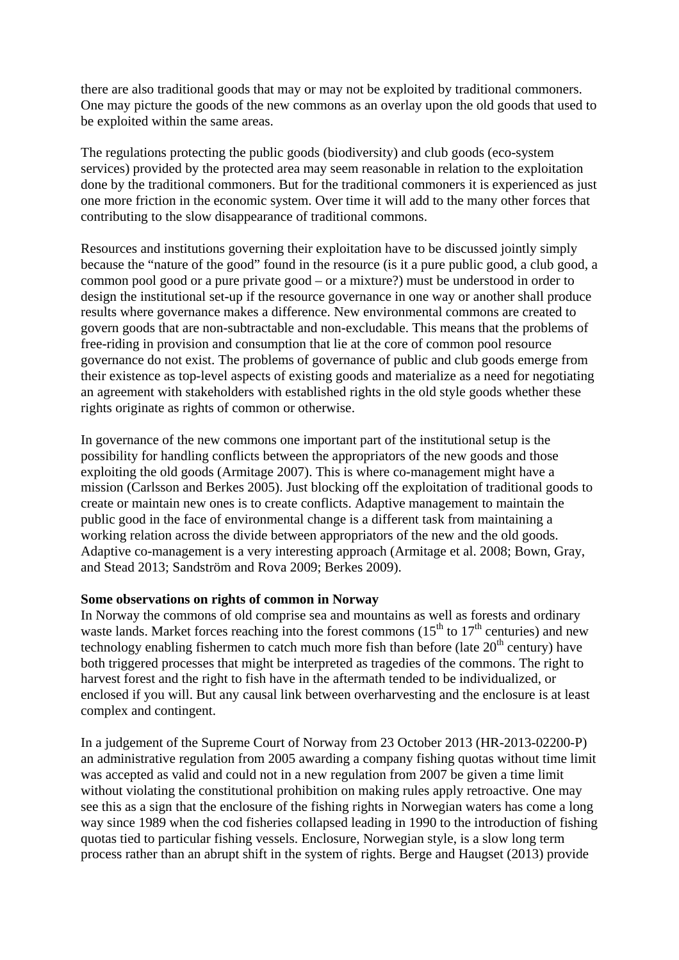there are also traditional goods that may or may not be exploited by traditional commoners. One may picture the goods of the new commons as an overlay upon the old goods that used to be exploited within the same areas.

The regulations protecting the public goods (biodiversity) and club goods (eco-system services) provided by the protected area may seem reasonable in relation to the exploitation done by the traditional commoners. But for the traditional commoners it is experienced as just one more friction in the economic system. Over time it will add to the many other forces that contributing to the slow disappearance of traditional commons.

Resources and institutions governing their exploitation have to be discussed jointly simply because the "nature of the good" found in the resource (is it a pure public good, a club good, a common pool good or a pure private good – or a mixture?) must be understood in order to design the institutional set-up if the resource governance in one way or another shall produce results where governance makes a difference. New environmental commons are created to govern goods that are non-subtractable and non-excludable. This means that the problems of free-riding in provision and consumption that lie at the core of common pool resource governance do not exist. The problems of governance of public and club goods emerge from their existence as top-level aspects of existing goods and materialize as a need for negotiating an agreement with stakeholders with established rights in the old style goods whether these rights originate as rights of common or otherwise.

In governance of the new commons one important part of the institutional setup is the possibility for handling conflicts between the appropriators of the new goods and those exploiting the old goods (Armitage 2007). This is where co-management might have a mission (Carlsson and Berkes 2005). Just blocking off the exploitation of traditional goods to create or maintain new ones is to create conflicts. Adaptive management to maintain the public good in the face of environmental change is a different task from maintaining a working relation across the divide between appropriators of the new and the old goods. Adaptive co-management is a very interesting approach (Armitage et al. 2008; Bown, Gray, and Stead 2013; Sandström and Rova 2009; Berkes 2009).

#### **Some observations on rights of common in Norway**

In Norway the commons of old comprise sea and mountains as well as forests and ordinary waste lands. Market forces reaching into the forest commons ( $15<sup>th</sup>$  to  $17<sup>th</sup>$  centuries) and new technology enabling fishermen to catch much more fish than before (late  $20<sup>th</sup>$  century) have both triggered processes that might be interpreted as tragedies of the commons. The right to harvest forest and the right to fish have in the aftermath tended to be individualized, or enclosed if you will. But any causal link between overharvesting and the enclosure is at least complex and contingent.

In a judgement of the Supreme Court of Norway from 23 October 2013 (HR-2013-02200-P) an administrative regulation from 2005 awarding a company fishing quotas without time limit was accepted as valid and could not in a new regulation from 2007 be given a time limit without violating the constitutional prohibition on making rules apply retroactive. One may see this as a sign that the enclosure of the fishing rights in Norwegian waters has come a long way since 1989 when the cod fisheries collapsed leading in 1990 to the introduction of fishing quotas tied to particular fishing vessels. Enclosure, Norwegian style, is a slow long term process rather than an abrupt shift in the system of rights. Berge and Haugset (2013) provide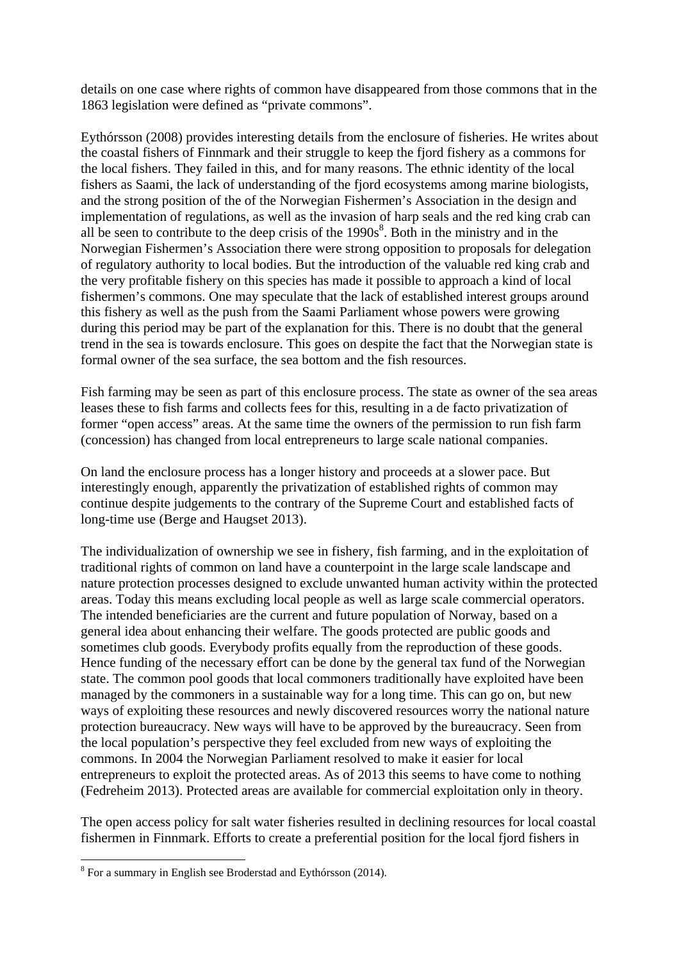details on one case where rights of common have disappeared from those commons that in the 1863 legislation were defined as "private commons".

Eythórsson (2008) provides interesting details from the enclosure of fisheries. He writes about the coastal fishers of Finnmark and their struggle to keep the fjord fishery as a commons for the local fishers. They failed in this, and for many reasons. The ethnic identity of the local fishers as Saami, the lack of understanding of the fjord ecosystems among marine biologists, and the strong position of the of the Norwegian Fishermen's Association in the design and implementation of regulations, as well as the invasion of harp seals and the red king crab can all be seen to contribute to the deep crisis of the  $1990s<sup>8</sup>$ . Both in the ministry and in the Norwegian Fishermen's Association there were strong opposition to proposals for delegation of regulatory authority to local bodies. But the introduction of the valuable red king crab and the very profitable fishery on this species has made it possible to approach a kind of local fishermen's commons. One may speculate that the lack of established interest groups around this fishery as well as the push from the Saami Parliament whose powers were growing during this period may be part of the explanation for this. There is no doubt that the general trend in the sea is towards enclosure. This goes on despite the fact that the Norwegian state is formal owner of the sea surface, the sea bottom and the fish resources.

Fish farming may be seen as part of this enclosure process. The state as owner of the sea areas leases these to fish farms and collects fees for this, resulting in a de facto privatization of former "open access" areas. At the same time the owners of the permission to run fish farm (concession) has changed from local entrepreneurs to large scale national companies.

On land the enclosure process has a longer history and proceeds at a slower pace. But interestingly enough, apparently the privatization of established rights of common may continue despite judgements to the contrary of the Supreme Court and established facts of long-time use (Berge and Haugset 2013).

The individualization of ownership we see in fishery, fish farming, and in the exploitation of traditional rights of common on land have a counterpoint in the large scale landscape and nature protection processes designed to exclude unwanted human activity within the protected areas. Today this means excluding local people as well as large scale commercial operators. The intended beneficiaries are the current and future population of Norway, based on a general idea about enhancing their welfare. The goods protected are public goods and sometimes club goods. Everybody profits equally from the reproduction of these goods. Hence funding of the necessary effort can be done by the general tax fund of the Norwegian state. The common pool goods that local commoners traditionally have exploited have been managed by the commoners in a sustainable way for a long time. This can go on, but new ways of exploiting these resources and newly discovered resources worry the national nature protection bureaucracy. New ways will have to be approved by the bureaucracy. Seen from the local population's perspective they feel excluded from new ways of exploiting the commons. In 2004 the Norwegian Parliament resolved to make it easier for local entrepreneurs to exploit the protected areas. As of 2013 this seems to have come to nothing (Fedreheim 2013). Protected areas are available for commercial exploitation only in theory.

The open access policy for salt water fisheries resulted in declining resources for local coastal fishermen in Finnmark. Efforts to create a preferential position for the local fjord fishers in

<sup>&</sup>lt;sup>8</sup> For a summary in English see Broderstad and Eythórsson (2014).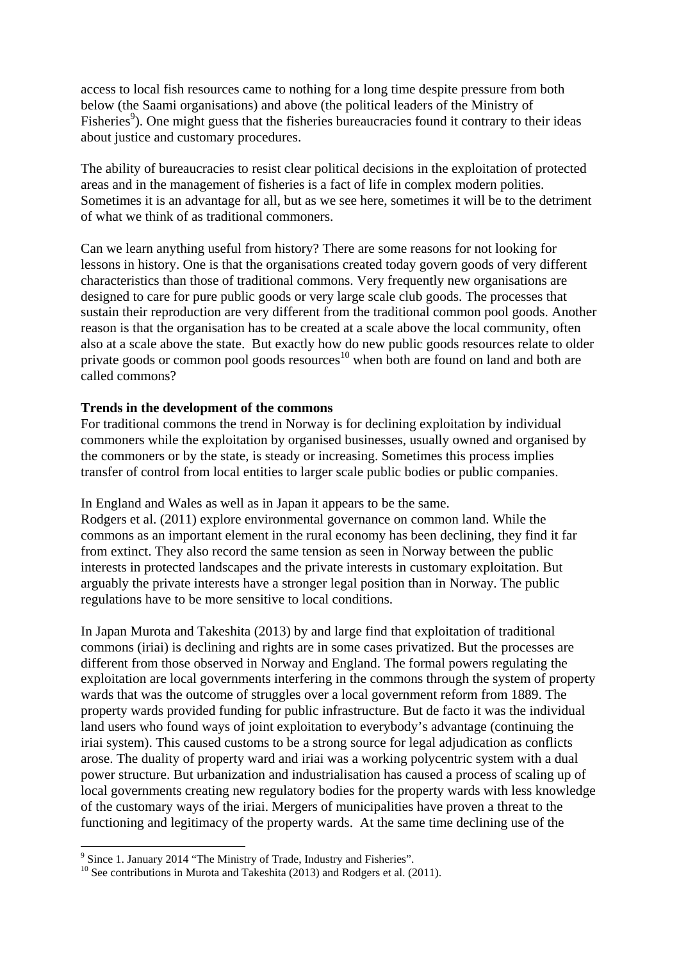access to local fish resources came to nothing for a long time despite pressure from both below (the Saami organisations) and above (the political leaders of the Ministry of Fisheries<sup>9</sup>). One might guess that the fisheries bureaucracies found it contrary to their ideas about justice and customary procedures.

The ability of bureaucracies to resist clear political decisions in the exploitation of protected areas and in the management of fisheries is a fact of life in complex modern polities. Sometimes it is an advantage for all, but as we see here, sometimes it will be to the detriment of what we think of as traditional commoners.

Can we learn anything useful from history? There are some reasons for not looking for lessons in history. One is that the organisations created today govern goods of very different characteristics than those of traditional commons. Very frequently new organisations are designed to care for pure public goods or very large scale club goods. The processes that sustain their reproduction are very different from the traditional common pool goods. Another reason is that the organisation has to be created at a scale above the local community, often also at a scale above the state. But exactly how do new public goods resources relate to older private goods or common pool goods resources<sup>10</sup> when both are found on land and both are called commons?

## **Trends in the development of the commons**

For traditional commons the trend in Norway is for declining exploitation by individual commoners while the exploitation by organised businesses, usually owned and organised by the commoners or by the state, is steady or increasing. Sometimes this process implies transfer of control from local entities to larger scale public bodies or public companies.

In England and Wales as well as in Japan it appears to be the same.

Rodgers et al. (2011) explore environmental governance on common land. While the commons as an important element in the rural economy has been declining, they find it far from extinct. They also record the same tension as seen in Norway between the public interests in protected landscapes and the private interests in customary exploitation. But arguably the private interests have a stronger legal position than in Norway. The public regulations have to be more sensitive to local conditions.

In Japan Murota and Takeshita (2013) by and large find that exploitation of traditional commons (iriai) is declining and rights are in some cases privatized. But the processes are different from those observed in Norway and England. The formal powers regulating the exploitation are local governments interfering in the commons through the system of property wards that was the outcome of struggles over a local government reform from 1889. The property wards provided funding for public infrastructure. But de facto it was the individual land users who found ways of joint exploitation to everybody's advantage (continuing the iriai system). This caused customs to be a strong source for legal adjudication as conflicts arose. The duality of property ward and iriai was a working polycentric system with a dual power structure. But urbanization and industrialisation has caused a process of scaling up of local governments creating new regulatory bodies for the property wards with less knowledge of the customary ways of the iriai. Mergers of municipalities have proven a threat to the functioning and legitimacy of the property wards. At the same time declining use of the

<sup>&</sup>lt;sup>9</sup> Since 1. January 2014 "The Ministry of Trade, Industry and Fisheries".

<sup>&</sup>lt;sup>10</sup> See contributions in Murota and Takeshita (2013) and Rodgers et al. (2011).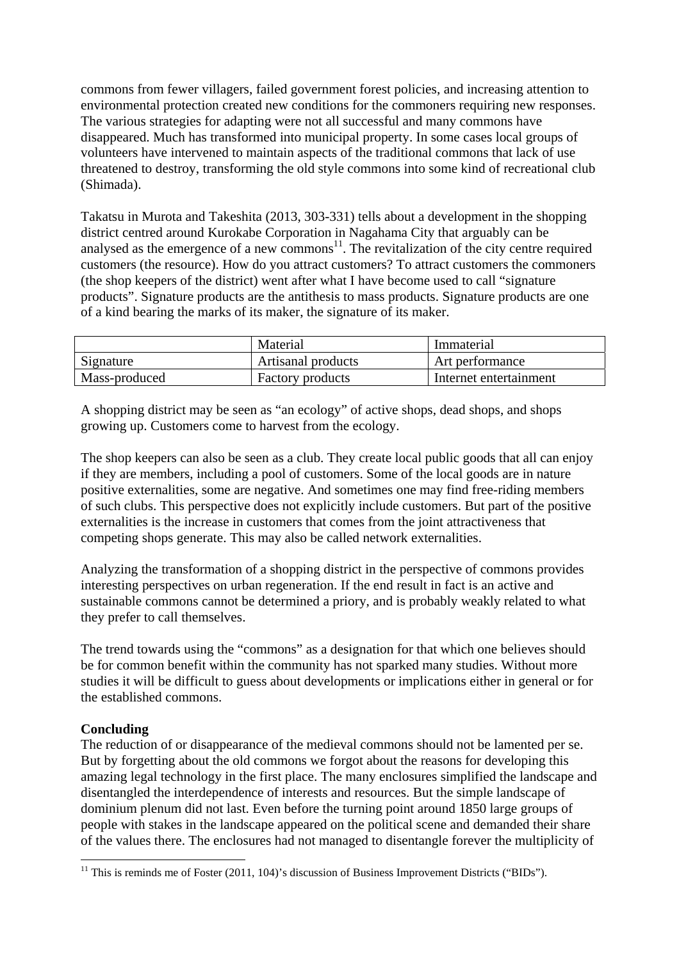commons from fewer villagers, failed government forest policies, and increasing attention to environmental protection created new conditions for the commoners requiring new responses. The various strategies for adapting were not all successful and many commons have disappeared. Much has transformed into municipal property. In some cases local groups of volunteers have intervened to maintain aspects of the traditional commons that lack of use threatened to destroy, transforming the old style commons into some kind of recreational club (Shimada).

Takatsu in Murota and Takeshita (2013, 303-331) tells about a development in the shopping district centred around Kurokabe Corporation in Nagahama City that arguably can be analysed as the emergence of a new commons $\frac{1}{1}$ . The revitalization of the city centre required customers (the resource). How do you attract customers? To attract customers the commoners (the shop keepers of the district) went after what I have become used to call "signature products". Signature products are the antithesis to mass products. Signature products are one of a kind bearing the marks of its maker, the signature of its maker.

|               | Material                | Immaterial             |
|---------------|-------------------------|------------------------|
| Signature     | Artisanal products      | Art performance        |
| Mass-produced | <b>Factory products</b> | Internet entertainment |

A shopping district may be seen as "an ecology" of active shops, dead shops, and shops growing up. Customers come to harvest from the ecology.

The shop keepers can also be seen as a club. They create local public goods that all can enjoy if they are members, including a pool of customers. Some of the local goods are in nature positive externalities, some are negative. And sometimes one may find free-riding members of such clubs. This perspective does not explicitly include customers. But part of the positive externalities is the increase in customers that comes from the joint attractiveness that competing shops generate. This may also be called network externalities.

Analyzing the transformation of a shopping district in the perspective of commons provides interesting perspectives on urban regeneration. If the end result in fact is an active and sustainable commons cannot be determined a priory, and is probably weakly related to what they prefer to call themselves.

The trend towards using the "commons" as a designation for that which one believes should be for common benefit within the community has not sparked many studies. Without more studies it will be difficult to guess about developments or implications either in general or for the established commons.

# **Concluding**

The reduction of or disappearance of the medieval commons should not be lamented per se. But by forgetting about the old commons we forgot about the reasons for developing this amazing legal technology in the first place. The many enclosures simplified the landscape and disentangled the interdependence of interests and resources. But the simple landscape of dominium plenum did not last. Even before the turning point around 1850 large groups of people with stakes in the landscape appeared on the political scene and demanded their share of the values there. The enclosures had not managed to disentangle forever the multiplicity of

<sup>&</sup>lt;sup>11</sup> This is reminds me of Foster (2011, 104)'s discussion of Business Improvement Districts ("BIDs").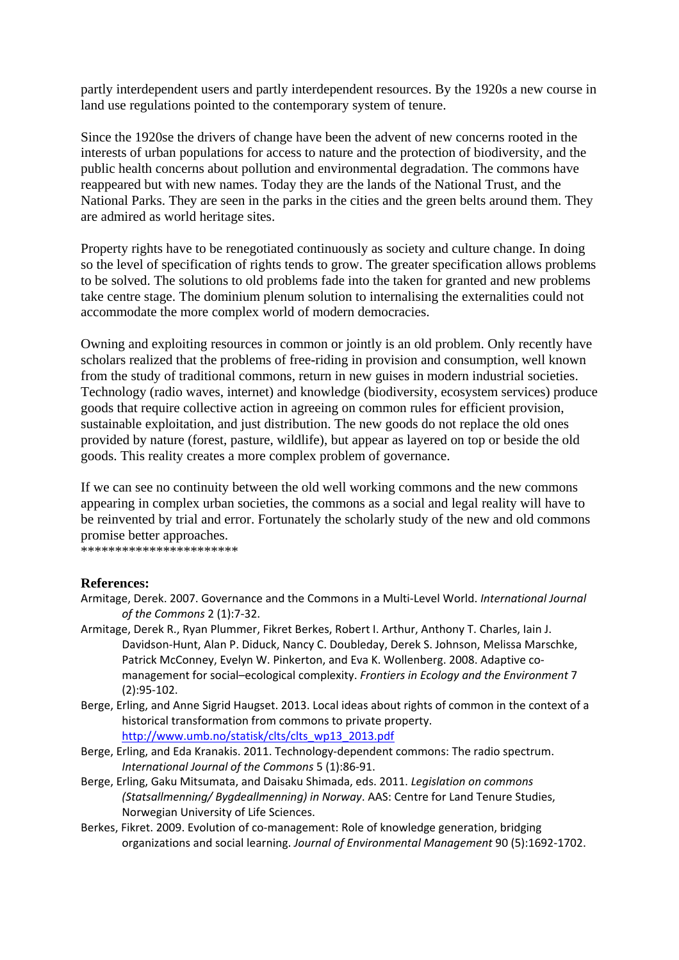partly interdependent users and partly interdependent resources. By the 1920s a new course in land use regulations pointed to the contemporary system of tenure.

Since the 1920se the drivers of change have been the advent of new concerns rooted in the interests of urban populations for access to nature and the protection of biodiversity, and the public health concerns about pollution and environmental degradation. The commons have reappeared but with new names. Today they are the lands of the National Trust, and the National Parks. They are seen in the parks in the cities and the green belts around them. They are admired as world heritage sites.

Property rights have to be renegotiated continuously as society and culture change. In doing so the level of specification of rights tends to grow. The greater specification allows problems to be solved. The solutions to old problems fade into the taken for granted and new problems take centre stage. The dominium plenum solution to internalising the externalities could not accommodate the more complex world of modern democracies.

Owning and exploiting resources in common or jointly is an old problem. Only recently have scholars realized that the problems of free-riding in provision and consumption, well known from the study of traditional commons, return in new guises in modern industrial societies. Technology (radio waves, internet) and knowledge (biodiversity, ecosystem services) produce goods that require collective action in agreeing on common rules for efficient provision, sustainable exploitation, and just distribution. The new goods do not replace the old ones provided by nature (forest, pasture, wildlife), but appear as layered on top or beside the old goods. This reality creates a more complex problem of governance.

If we can see no continuity between the old well working commons and the new commons appearing in complex urban societies, the commons as a social and legal reality will have to be reinvented by trial and error. Fortunately the scholarly study of the new and old commons promise better approaches.

**\***<br>\*\*\*\*\*\*\*\*\*\*\*\*\*\*\*\*\*\*\*\*\*\*\*\*\*

#### **References:**

- Armitage, Derek. 2007. Governance and the Commons in a Multi‐Level World. *International Journal of the Commons* 2 (1):7‐32.
- Armitage, Derek R., Ryan Plummer, Fikret Berkes, Robert I. Arthur, Anthony T. Charles, Iain J. Davidson‐Hunt, Alan P. Diduck, Nancy C. Doubleday, Derek S. Johnson, Melissa Marschke, Patrick McConney, Evelyn W. Pinkerton, and Eva K. Wollenberg. 2008. Adaptive comanagement for social–ecological complexity. *Frontiers in Ecology and the Environment* 7 (2):95‐102.
- Berge, Erling, and Anne Sigrid Haugset. 2013. Local ideas about rights of common in the context of a historical transformation from commons to private property. http://www.umb.no/statisk/clts/clts\_wp13\_2013.pdf
- Berge, Erling, and Eda Kranakis. 2011. Technology‐dependent commons: The radio spectrum. *International Journal of the Commons* 5 (1):86‐91.
- Berge, Erling, Gaku Mitsumata, and Daisaku Shimada, eds. 2011. *Legislation on commons (Statsallmenning/ Bygdeallmenning) in Norway*. AAS: Centre for Land Tenure Studies, Norwegian University of Life Sciences.
- Berkes, Fikret. 2009. Evolution of co‐management: Role of knowledge generation, bridging organizations and social learning. *Journal of Environmental Management* 90 (5):1692‐1702.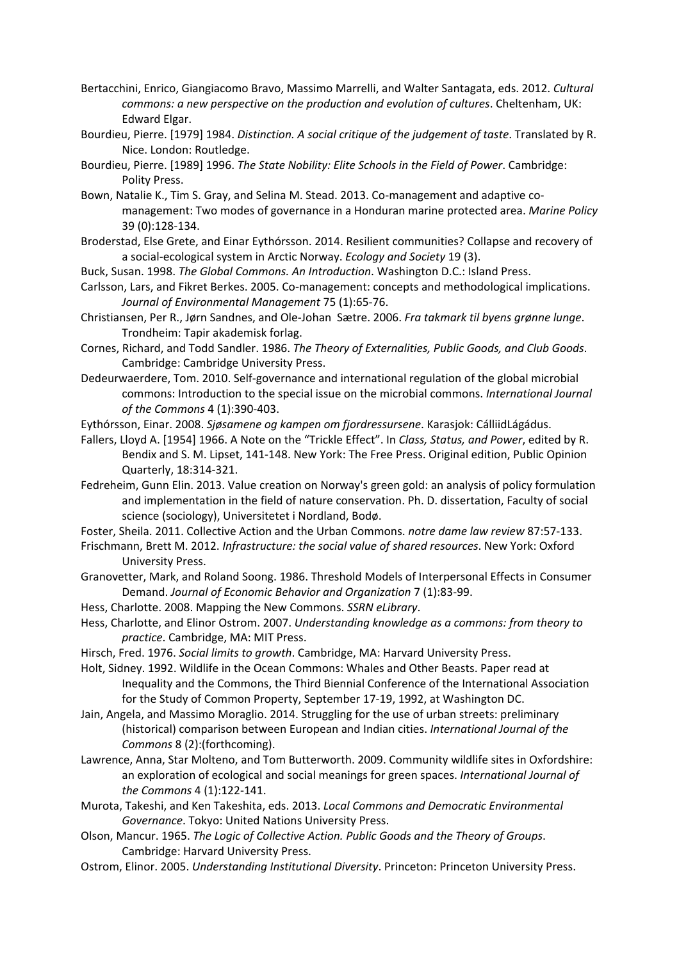- Bertacchini, Enrico, Giangiacomo Bravo, Massimo Marrelli, and Walter Santagata, eds. 2012. *Cultural commons: a new perspective on the production and evolution of cultures*. Cheltenham, UK: Edward Elgar.
- Bourdieu, Pierre. [1979] 1984. *Distinction. A social critique of the judgement of taste*. Translated by R. Nice. London: Routledge.
- Bourdieu, Pierre. [1989] 1996. *The State Nobility: Elite Schools in the Field of Power*. Cambridge: Polity Press.
- Bown, Natalie K., Tim S. Gray, and Selina M. Stead. 2013. Co‐management and adaptive co‐ management: Two modes of governance in a Honduran marine protected area. *Marine Policy* 39 (0):128‐134.
- Broderstad, Else Grete, and Einar Eythórsson. 2014. Resilient communities? Collapse and recovery of a social‐ecological system in Arctic Norway. *Ecology and Society* 19 (3).
- Buck, Susan. 1998. *The Global Commons. An Introduction*. Washington D.C.: Island Press.
- Carlsson, Lars, and Fikret Berkes. 2005. Co‐management: concepts and methodological implications. *Journal of Environmental Management* 75 (1):65‐76.
- Christiansen, Per R., Jørn Sandnes, and Ole‐Johan Sætre. 2006. *Fra takmark til byens grønne lunge*. Trondheim: Tapir akademisk forlag.
- Cornes, Richard, and Todd Sandler. 1986. *The Theory of Externalities, Public Goods, and Club Goods*. Cambridge: Cambridge University Press.
- Dedeurwaerdere, Tom. 2010. Self‐governance and international regulation of the global microbial commons: Introduction to the special issue on the microbial commons. *International Journal of the Commons* 4 (1):390‐403.
- Eythórsson, Einar. 2008. *Sjøsamene og kampen om fjordressursene*. Karasjok: CálliidLágádus.
- Fallers, Lloyd A. [1954] 1966. A Note on the "Trickle Effect". In *Class, Status, and Power*, edited by R. Bendix and S. M. Lipset, 141‐148. New York: The Free Press. Original edition, Public Opinion Quarterly, 18:314‐321.
- Fedreheim, Gunn Elin. 2013. Value creation on Norway's green gold: an analysis of policy formulation and implementation in the field of nature conservation. Ph. D. dissertation, Faculty of social science (sociology), Universitetet i Nordland, Bodø.
- Foster, Sheila. 2011. Collective Action and the Urban Commons. *notre dame law review* 87:57‐133.
- Frischmann, Brett M. 2012. *Infrastructure: the social value of shared resources*. New York: Oxford University Press.
- Granovetter, Mark, and Roland Soong. 1986. Threshold Models of Interpersonal Effects in Consumer Demand. *Journal of Economic Behavior and Organization* 7 (1):83‐99.
- Hess, Charlotte. 2008. Mapping the New Commons. *SSRN eLibrary*.
- Hess, Charlotte, and Elinor Ostrom. 2007. *Understanding knowledge as a commons: from theory to practice*. Cambridge, MA: MIT Press.
- Hirsch, Fred. 1976. *Social limits to growth*. Cambridge, MA: Harvard University Press.
- Holt, Sidney. 1992. Wildlife in the Ocean Commons: Whales and Other Beasts. Paper read at Inequality and the Commons, the Third Biennial Conference of the International Association for the Study of Common Property, September 17‐19, 1992, at Washington DC.
- Jain, Angela, and Massimo Moraglio. 2014. Struggling for the use of urban streets: preliminary (historical) comparison between European and Indian cities. *International Journal of the Commons* 8 (2):(forthcoming).
- Lawrence, Anna, Star Molteno, and Tom Butterworth. 2009. Community wildlife sites in Oxfordshire: an exploration of ecological and social meanings for green spaces. *International Journal of the Commons* 4 (1):122‐141.
- Murota, Takeshi, and Ken Takeshita, eds. 2013. *Local Commons and Democratic Environmental Governance*. Tokyo: United Nations University Press.
- Olson, Mancur. 1965. *The Logic of Collective Action. Public Goods and the Theory of Groups*. Cambridge: Harvard University Press.
- Ostrom, Elinor. 2005. *Understanding Institutional Diversity*. Princeton: Princeton University Press.